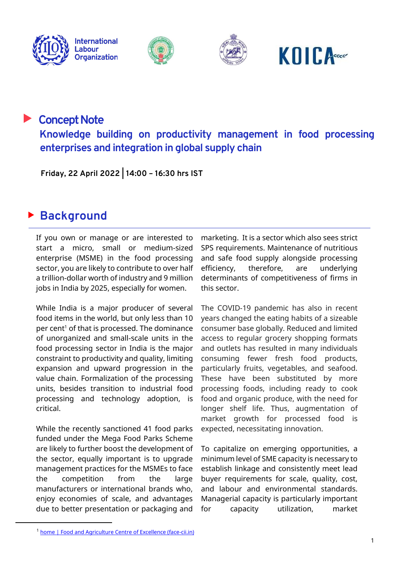







## **Concept Note Knowledge building on productivity management in food processing enterprises and integration in global supply chain**

 **Friday, 22 April 2022 | 14:00 – 16:30 hrs IST**

## ► **Background**

If you own or manage or are interested to start a micro, small or medium-sized enterprise (MSME) in the food processing sector, you are likely to contribute to over half a trillion-dollar worth of industry and 9 million jobs in India by 2025, especially for women.

While India is a major producer of several food items in the world, but only less than 10 per cent<sup>1</sup> of that is processed. The dominance of unorganized and small-scale units in the food processing sector in India is the major constraint to productivity and quality, limiting expansion and upward progression in the value chain. Formalization of the processing units, besides transition to industrial food processing and technology adoption, is critical.

While the recently sanctioned 41 food parks funded under the Mega Food Parks Scheme are likely to further boost the development of the sector, equally important is to upgrade management practices for the MSMEs to face the competition from the large manufacturers or international brands who, enjoy economies of scale, and advantages due to better presentation or packaging and

marketing. It is a sector which also sees strict SPS requirements. Maintenance of nutritious and safe food supply alongside processing efficiency, therefore, are underlying determinants of competitiveness of firms in this sector.

The COVID-19 pandemic has also in recent years changed the eating habits of a sizeable consumer base globally. Reduced and limited access to regular grocery shopping formats and outlets has resulted in many individuals consuming fewer fresh food products, particularly fruits, vegetables, and seafood. These have been substituted by more processing foods, including ready to cook food and organic produce, with the need for longer shelf life. Thus, augmentation of market growth for processed food is expected, necessitating innovation.

To capitalize on emerging opportunities, a minimum level of SME capacity is necessary to establish linkage and consistently meet lead buyer requirements for scale, quality, cost, and labour and environmental standards. Managerial capacity is particularly important for capacity utilization, market

<sup>1</sup> [home | Food and Agriculture Centre of Excellence \(face-cii.in\)](https://face-cii.in/home)